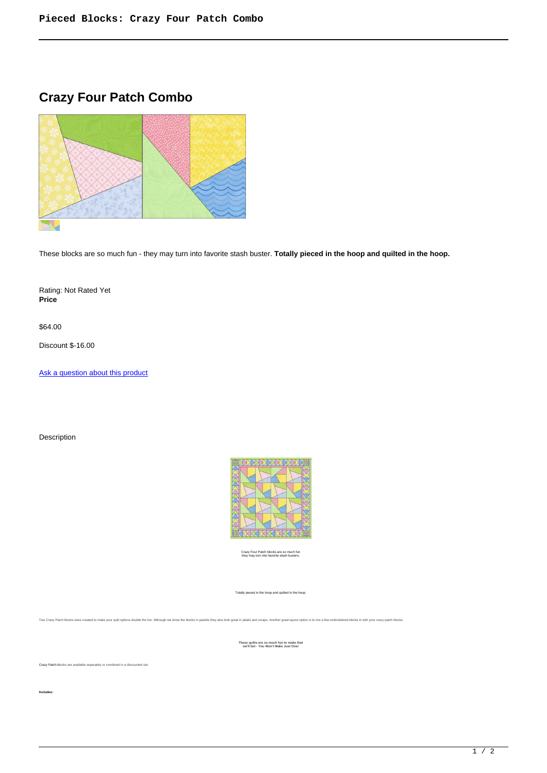## **Crazy Four Patch Combo**



These blocks are so much fun - they may turn into favorite stash buster. **Totally pieced in the hoop and quilted in the hoop.**

Rating: Not Rated Yet **Price** 

\$64.00

Discount \$-16.00

[Ask a question about this product](https://www.queenofstitching.com/index.php?option=com_virtuemart&view=productdetails&task=askquestion&virtuemart_product_id=167&virtuemart_category_id=12&tmpl=component)

Description



Crazy Four Patch blocks are so much fun they may turn into favorite stash busters.

Totally pieced in the hoop and quilted in the hoop.

Two Crazy Patch blocks were created to make your quilt options double the fun. Although we show the blocks in pastels they also look great in plaids and scraps. Another great layout option is to mix a few embroidered block

**These quilts are so much fun to make that we'll bet - You Won't Make Just One!**

Crazy Patch blocks are available separately or combined in a discounted set.

**Includes:**